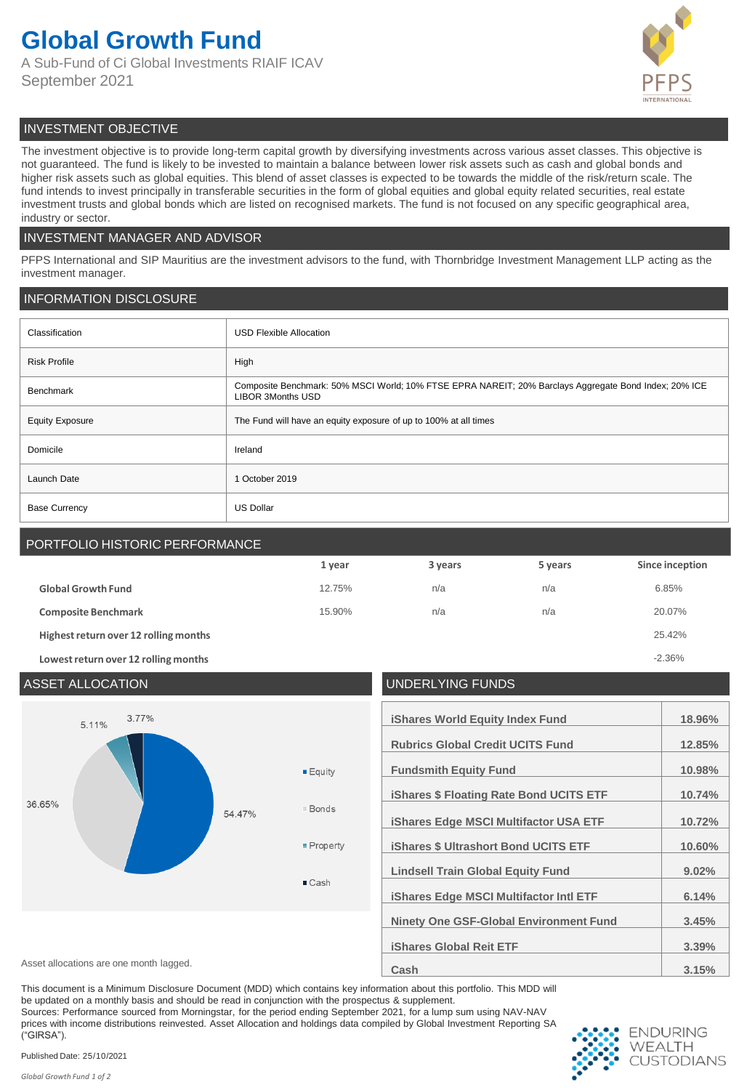# **Global Growth Fund**

A Sub-Fund of Ci Global Investments RIAIF ICAV September 2021



# INVESTMENT OBJECTIVE

The investment objective is to provide long-term capital growth by diversifying investments across various asset classes. This objective is not guaranteed. The fund is likely to be invested to maintain a balance between lower risk assets such as cash and global bonds and higher risk assets such as global equities. This blend of asset classes is expected to be towards the middle of the risk/return scale. The fund intends to invest principally in transferable securities in the form of global equities and global equity related securities, real estate investment trusts and global bonds which are listed on recognised markets. The fund is not focused on any specific geographical area, industry or sector.

## INVESTMENT MANAGER AND ADVISOR

PFPS International and SIP Mauritius are the investment advisors to the fund, with Thornbridge Investment Management LLP acting as the investment manager.

# INFORMATION DISCLOSURE

| Classification         | <b>USD Flexible Allocation</b>                                                                                                    |
|------------------------|-----------------------------------------------------------------------------------------------------------------------------------|
| <b>Risk Profile</b>    | High                                                                                                                              |
| Benchmark              | Composite Benchmark: 50% MSCI World; 10% FTSE EPRA NAREIT; 20% Barclays Aggregate Bond Index; 20% ICE<br><b>LIBOR 3Months USD</b> |
| <b>Equity Exposure</b> | The Fund will have an equity exposure of up to 100% at all times                                                                  |
| Domicile               | Ireland                                                                                                                           |
| Launch Date            | 1 October 2019                                                                                                                    |
| <b>Base Currency</b>   | <b>US Dollar</b>                                                                                                                  |

# PORTFOLIO HISTORIC PERFORMANCE

|                                       | 1 year | 3 years | 5 years | Since inception |
|---------------------------------------|--------|---------|---------|-----------------|
| <b>Global Growth Fund</b>             | 12.75% | n/a     | n/a     | 6.85%           |
| <b>Composite Benchmark</b>            | 15.90% | n/a     | n/a     | 20.07%          |
| Highest return over 12 rolling months |        |         |         | 25.42%          |
| Lowest return over 12 rolling months  |        |         |         | $-2.36%$        |

## ASSET ALLOCATION UNDERLYING FUNDS 3.77% **iShares World Equity Index Fund 18.96%** 5.11% **Rubrics Global Credit UCITS Fund 12.85% Fundsmith Equity Fund 10.98%**  $E$ auitv **iShares \$ Floating Rate Bond UCITS ETF 10.74%** 36.65%  $\Box$  Bonds 54.47% **iShares Edge MSCI Multifactor USA ETF 10.72%** Property **iShares \$ Ultrashort Bond UCITS ETF 10.60% Lindsell Train Global Equity Fund 9.02%** ■ Cash **iShares Edge MSCI Multifactor Intl ETF 6.14% Ninety One GSF-Global Environment Fund 3.45% iShares Global Reit ETF 3.39%** Asset allocations are one month lagged. **3.15% Cash Cash Cash Cash 1.15%**

This document is a Minimum Disclosure Document (MDD) which contains key information about this portfolio. This MDD will be updated on a monthly basis and should be read in conjunction with the prospectus & supplement.

Sources: Performance sourced from Morningstar, for the period ending September 2021, for a lump sum using NAV-NAV prices with income distributions reinvested. Asset Allocation and holdings data compiled by Global Investment Reporting SA ("GIRSA").



Published Date: 25/10/2021